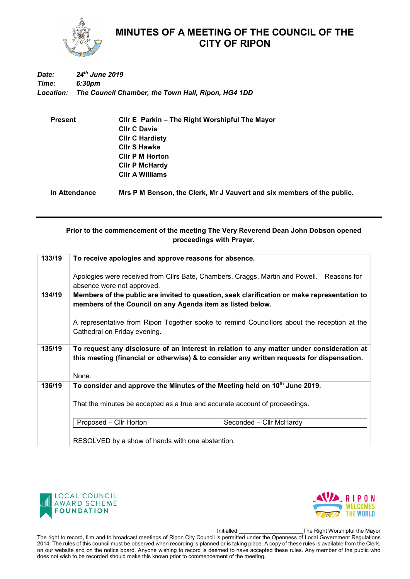

## **MINUTES OF A MEETING OF THE COUNCIL OF THE CITY OF RIPON**

## *Date: 24th June 2019 Time: 6:30pm Location: The Council Chamber, the Town Hall, Ripon, HG4 1DD*

| <b>Present</b> | Cllr E Parkin – The Right Worshipful The Mayor                         |  |  |
|----------------|------------------------------------------------------------------------|--|--|
|                | <b>CIIr C Davis</b>                                                    |  |  |
|                | <b>CIIr C Hardisty</b>                                                 |  |  |
|                | <b>CIIr S Hawke</b>                                                    |  |  |
|                | <b>CIIr P M Horton</b>                                                 |  |  |
|                | <b>CIIr P McHardy</b>                                                  |  |  |
|                | <b>CIIr A Williams</b>                                                 |  |  |
| In Attendance  | Mrs P M Benson, the Clerk, Mr J Vauvert and six members of the public. |  |  |

## **Prior to the commencement of the meeting The Very Reverend Dean John Dobson opened proceedings with Prayer.**

| 133/19 | To receive apologies and approve reasons for absence.                                                                                                                                   |  |  |
|--------|-----------------------------------------------------------------------------------------------------------------------------------------------------------------------------------------|--|--|
|        | Apologies were received from Cllrs Bate, Chambers, Craggs, Martin and Powell. Reasons for<br>absence were not approved.                                                                 |  |  |
| 134/19 | Members of the public are invited to question, seek clarification or make representation to<br>members of the Council on any Agenda item as listed below.                               |  |  |
|        | A representative from Ripon Together spoke to remind Councillors about the reception at the<br>Cathedral on Friday evening.                                                             |  |  |
| 135/19 | To request any disclosure of an interest in relation to any matter under consideration at<br>this meeting (financial or otherwise) & to consider any written requests for dispensation. |  |  |
|        | None.                                                                                                                                                                                   |  |  |
| 136/19 | To consider and approve the Minutes of the Meeting held on 10th June 2019.                                                                                                              |  |  |
|        | That the minutes be accepted as a true and accurate account of proceedings.                                                                                                             |  |  |
|        | Proposed - Cllr Horton<br>Seconded - Cllr McHardy                                                                                                                                       |  |  |
|        | RESOLVED by a show of hands with one abstention.                                                                                                                                        |  |  |





Initialled \_\_\_\_\_\_\_\_\_\_\_\_\_\_\_\_\_\_\_\_\_The Right Worshipful the Mayor

The right to record, film and to broadcast meetings of Ripon City Council is permitted under the Openness of Local Government Regulations 2014. The rules of this council must be observed when recording is planned or is taking place. A copy of these rules is available from the Clerk, on our website and on the notice board. Anyone wishing to record is deemed to have accepted these rules. Any member of the public who does not wish to be recorded should make this known prior to commencement of the meeting.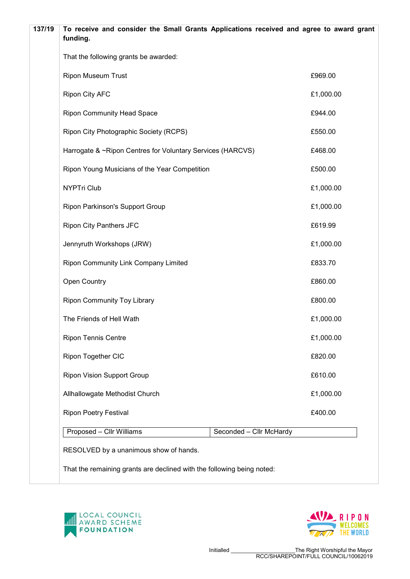| 137/19<br>To receive and consider the Small Grants Applications received and agree to award grant<br>funding. |                         |           |
|---------------------------------------------------------------------------------------------------------------|-------------------------|-----------|
| That the following grants be awarded:                                                                         |                         |           |
| <b>Ripon Museum Trust</b>                                                                                     |                         | £969.00   |
| <b>Ripon City AFC</b>                                                                                         |                         | £1,000.00 |
| <b>Ripon Community Head Space</b>                                                                             |                         | £944.00   |
| Ripon City Photographic Society (RCPS)                                                                        |                         | £550.00   |
| Harrogate & ~Ripon Centres for Voluntary Services (HARCVS)                                                    |                         | £468.00   |
| Ripon Young Musicians of the Year Competition                                                                 |                         | £500.00   |
| <b>NYPTri Club</b>                                                                                            |                         | £1,000.00 |
| Ripon Parkinson's Support Group                                                                               |                         | £1,000.00 |
| <b>Ripon City Panthers JFC</b>                                                                                |                         | £619.99   |
| Jennyruth Workshops (JRW)                                                                                     |                         | £1,000.00 |
| Ripon Community Link Company Limited                                                                          |                         | £833.70   |
| Open Country                                                                                                  |                         | £860.00   |
| <b>Ripon Community Toy Library</b>                                                                            |                         | £800.00   |
| The Friends of Hell Wath                                                                                      |                         | £1,000.00 |
| <b>Ripon Tennis Centre</b>                                                                                    |                         | £1,000.00 |
| Ripon Together CIC                                                                                            |                         | £820.00   |
| <b>Ripon Vision Support Group</b>                                                                             |                         | £610.00   |
| Allhallowgate Methodist Church                                                                                |                         | £1,000.00 |
| <b>Ripon Poetry Festival</b>                                                                                  |                         | £400.00   |
| Proposed - Cllr Williams                                                                                      | Seconded - Cllr McHardy |           |
| RESOLVED by a unanimous show of hands.                                                                        |                         |           |
| That the remaining grants are declined with the following being noted:                                        |                         |           |



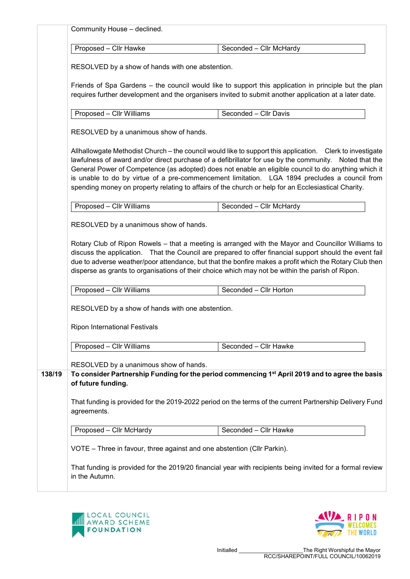| Proposed - Cllr Hawke<br>Seconded - Cllr McHardy<br>RESOLVED by a show of hands with one abstention.<br>Friends of Spa Gardens - the council would like to support this application in principle but the plan<br>requires further development and the organisers invited to submit another application at a later date.<br>Seconded - Cllr Davis<br>Proposed - Cllr Williams<br>RESOLVED by a unanimous show of hands.<br>Allhallowgate Methodist Church – the council would like to support this application. Clerk to investigate<br>lawfulness of award and/or direct purchase of a defibrillator for use by the community. Noted that the<br>General Power of Competence (as adopted) does not enable an eligible council to do anything which it<br>is unable to do by virtue of a pre-commencement limitation. LGA 1894 precludes a council from<br>spending money on property relating to affairs of the church or help for an Ecclesiastical Charity.<br>Proposed - Cllr Williams<br>Seconded - Cllr McHardy<br>RESOLVED by a unanimous show of hands.<br>Rotary Club of Ripon Rowels - that a meeting is arranged with the Mayor and Councillor Williams to<br>discuss the application. That the Council are prepared to offer financial support should the event fail<br>due to adverse weather/poor attendance, but that the bonfire makes a profit which the Rotary Club then<br>disperse as grants to organisations of their choice which may not be within the parish of Ripon.<br>Seconded - Cllr Horton<br>Proposed - Cllr Williams<br>RESOLVED by a show of hands with one abstention.<br><b>Ripon International Festivals</b><br>Proposed - Cllr Williams<br>Seconded - Cllr Hawke<br>RESOLVED by a unanimous show of hands.<br>To consider Partnership Funding for the period commencing 1 <sup>st</sup> April 2019 and to agree the basis<br>138/19<br>of future funding.<br>That funding is provided for the 2019-2022 period on the terms of the current Partnership Delivery Fund<br>agreements. |  | Community House - declined. |  |  |  |  |  |
|-------------------------------------------------------------------------------------------------------------------------------------------------------------------------------------------------------------------------------------------------------------------------------------------------------------------------------------------------------------------------------------------------------------------------------------------------------------------------------------------------------------------------------------------------------------------------------------------------------------------------------------------------------------------------------------------------------------------------------------------------------------------------------------------------------------------------------------------------------------------------------------------------------------------------------------------------------------------------------------------------------------------------------------------------------------------------------------------------------------------------------------------------------------------------------------------------------------------------------------------------------------------------------------------------------------------------------------------------------------------------------------------------------------------------------------------------------------------------------------------------------------------------------------------------------------------------------------------------------------------------------------------------------------------------------------------------------------------------------------------------------------------------------------------------------------------------------------------------------------------------------------------------------------------------------------------------------------------------------------------------------------------------|--|-----------------------------|--|--|--|--|--|
|                                                                                                                                                                                                                                                                                                                                                                                                                                                                                                                                                                                                                                                                                                                                                                                                                                                                                                                                                                                                                                                                                                                                                                                                                                                                                                                                                                                                                                                                                                                                                                                                                                                                                                                                                                                                                                                                                                                                                                                                                         |  |                             |  |  |  |  |  |
|                                                                                                                                                                                                                                                                                                                                                                                                                                                                                                                                                                                                                                                                                                                                                                                                                                                                                                                                                                                                                                                                                                                                                                                                                                                                                                                                                                                                                                                                                                                                                                                                                                                                                                                                                                                                                                                                                                                                                                                                                         |  |                             |  |  |  |  |  |
|                                                                                                                                                                                                                                                                                                                                                                                                                                                                                                                                                                                                                                                                                                                                                                                                                                                                                                                                                                                                                                                                                                                                                                                                                                                                                                                                                                                                                                                                                                                                                                                                                                                                                                                                                                                                                                                                                                                                                                                                                         |  |                             |  |  |  |  |  |
|                                                                                                                                                                                                                                                                                                                                                                                                                                                                                                                                                                                                                                                                                                                                                                                                                                                                                                                                                                                                                                                                                                                                                                                                                                                                                                                                                                                                                                                                                                                                                                                                                                                                                                                                                                                                                                                                                                                                                                                                                         |  |                             |  |  |  |  |  |
|                                                                                                                                                                                                                                                                                                                                                                                                                                                                                                                                                                                                                                                                                                                                                                                                                                                                                                                                                                                                                                                                                                                                                                                                                                                                                                                                                                                                                                                                                                                                                                                                                                                                                                                                                                                                                                                                                                                                                                                                                         |  |                             |  |  |  |  |  |
|                                                                                                                                                                                                                                                                                                                                                                                                                                                                                                                                                                                                                                                                                                                                                                                                                                                                                                                                                                                                                                                                                                                                                                                                                                                                                                                                                                                                                                                                                                                                                                                                                                                                                                                                                                                                                                                                                                                                                                                                                         |  |                             |  |  |  |  |  |
|                                                                                                                                                                                                                                                                                                                                                                                                                                                                                                                                                                                                                                                                                                                                                                                                                                                                                                                                                                                                                                                                                                                                                                                                                                                                                                                                                                                                                                                                                                                                                                                                                                                                                                                                                                                                                                                                                                                                                                                                                         |  |                             |  |  |  |  |  |
|                                                                                                                                                                                                                                                                                                                                                                                                                                                                                                                                                                                                                                                                                                                                                                                                                                                                                                                                                                                                                                                                                                                                                                                                                                                                                                                                                                                                                                                                                                                                                                                                                                                                                                                                                                                                                                                                                                                                                                                                                         |  |                             |  |  |  |  |  |
|                                                                                                                                                                                                                                                                                                                                                                                                                                                                                                                                                                                                                                                                                                                                                                                                                                                                                                                                                                                                                                                                                                                                                                                                                                                                                                                                                                                                                                                                                                                                                                                                                                                                                                                                                                                                                                                                                                                                                                                                                         |  |                             |  |  |  |  |  |
|                                                                                                                                                                                                                                                                                                                                                                                                                                                                                                                                                                                                                                                                                                                                                                                                                                                                                                                                                                                                                                                                                                                                                                                                                                                                                                                                                                                                                                                                                                                                                                                                                                                                                                                                                                                                                                                                                                                                                                                                                         |  |                             |  |  |  |  |  |
|                                                                                                                                                                                                                                                                                                                                                                                                                                                                                                                                                                                                                                                                                                                                                                                                                                                                                                                                                                                                                                                                                                                                                                                                                                                                                                                                                                                                                                                                                                                                                                                                                                                                                                                                                                                                                                                                                                                                                                                                                         |  |                             |  |  |  |  |  |
|                                                                                                                                                                                                                                                                                                                                                                                                                                                                                                                                                                                                                                                                                                                                                                                                                                                                                                                                                                                                                                                                                                                                                                                                                                                                                                                                                                                                                                                                                                                                                                                                                                                                                                                                                                                                                                                                                                                                                                                                                         |  |                             |  |  |  |  |  |
|                                                                                                                                                                                                                                                                                                                                                                                                                                                                                                                                                                                                                                                                                                                                                                                                                                                                                                                                                                                                                                                                                                                                                                                                                                                                                                                                                                                                                                                                                                                                                                                                                                                                                                                                                                                                                                                                                                                                                                                                                         |  |                             |  |  |  |  |  |
|                                                                                                                                                                                                                                                                                                                                                                                                                                                                                                                                                                                                                                                                                                                                                                                                                                                                                                                                                                                                                                                                                                                                                                                                                                                                                                                                                                                                                                                                                                                                                                                                                                                                                                                                                                                                                                                                                                                                                                                                                         |  |                             |  |  |  |  |  |
|                                                                                                                                                                                                                                                                                                                                                                                                                                                                                                                                                                                                                                                                                                                                                                                                                                                                                                                                                                                                                                                                                                                                                                                                                                                                                                                                                                                                                                                                                                                                                                                                                                                                                                                                                                                                                                                                                                                                                                                                                         |  |                             |  |  |  |  |  |
|                                                                                                                                                                                                                                                                                                                                                                                                                                                                                                                                                                                                                                                                                                                                                                                                                                                                                                                                                                                                                                                                                                                                                                                                                                                                                                                                                                                                                                                                                                                                                                                                                                                                                                                                                                                                                                                                                                                                                                                                                         |  |                             |  |  |  |  |  |
|                                                                                                                                                                                                                                                                                                                                                                                                                                                                                                                                                                                                                                                                                                                                                                                                                                                                                                                                                                                                                                                                                                                                                                                                                                                                                                                                                                                                                                                                                                                                                                                                                                                                                                                                                                                                                                                                                                                                                                                                                         |  |                             |  |  |  |  |  |
| Proposed - Cllr McHardy<br>Seconded - Cllr Hawke                                                                                                                                                                                                                                                                                                                                                                                                                                                                                                                                                                                                                                                                                                                                                                                                                                                                                                                                                                                                                                                                                                                                                                                                                                                                                                                                                                                                                                                                                                                                                                                                                                                                                                                                                                                                                                                                                                                                                                        |  |                             |  |  |  |  |  |
| VOTE - Three in favour, three against and one abstention (Cllr Parkin).                                                                                                                                                                                                                                                                                                                                                                                                                                                                                                                                                                                                                                                                                                                                                                                                                                                                                                                                                                                                                                                                                                                                                                                                                                                                                                                                                                                                                                                                                                                                                                                                                                                                                                                                                                                                                                                                                                                                                 |  |                             |  |  |  |  |  |
| That funding is provided for the 2019/20 financial year with recipients being invited for a formal review<br>in the Autumn.                                                                                                                                                                                                                                                                                                                                                                                                                                                                                                                                                                                                                                                                                                                                                                                                                                                                                                                                                                                                                                                                                                                                                                                                                                                                                                                                                                                                                                                                                                                                                                                                                                                                                                                                                                                                                                                                                             |  |                             |  |  |  |  |  |